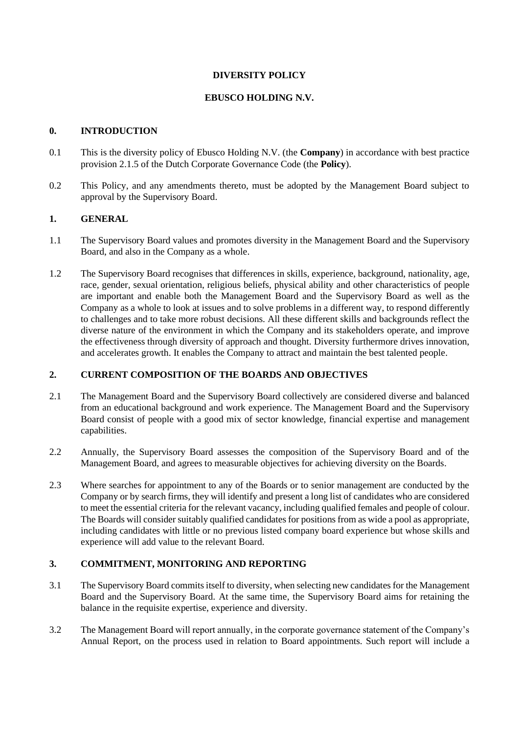### **DIVERSITY POLICY**

### **EBUSCO HOLDING N.V.**

## **0. INTRODUCTION**

- 0.1 This is the diversity policy of Ebusco Holding N.V. (the **Company**) in accordance with best practice provision 2.1.5 of the Dutch Corporate Governance Code (the **Policy**).
- 0.2 This Policy, and any amendments thereto, must be adopted by the Management Board subject to approval by the Supervisory Board.

### **1. GENERAL**

- 1.1 The Supervisory Board values and promotes diversity in the Management Board and the Supervisory Board, and also in the Company as a whole.
- 1.2 The Supervisory Board recognises that differences in skills, experience, background, nationality, age, race, gender, sexual orientation, religious beliefs, physical ability and other characteristics of people are important and enable both the Management Board and the Supervisory Board as well as the Company as a whole to look at issues and to solve problems in a different way, to respond differently to challenges and to take more robust decisions. All these different skills and backgrounds reflect the diverse nature of the environment in which the Company and its stakeholders operate, and improve the effectiveness through diversity of approach and thought. Diversity furthermore drives innovation, and accelerates growth. It enables the Company to attract and maintain the best talented people.

### **2. CURRENT COMPOSITION OF THE BOARDS AND OBJECTIVES**

- 2.1 The Management Board and the Supervisory Board collectively are considered diverse and balanced from an educational background and work experience. The Management Board and the Supervisory Board consist of people with a good mix of sector knowledge, financial expertise and management capabilities.
- 2.2 Annually, the Supervisory Board assesses the composition of the Supervisory Board and of the Management Board, and agrees to measurable objectives for achieving diversity on the Boards.
- 2.3 Where searches for appointment to any of the Boards or to senior management are conducted by the Company or by search firms, they will identify and present a long list of candidates who are considered to meet the essential criteria for the relevant vacancy, including qualified females and people of colour. The Boards will consider suitably qualified candidates for positions from as wide a pool as appropriate, including candidates with little or no previous listed company board experience but whose skills and experience will add value to the relevant Board.

# **3. COMMITMENT, MONITORING AND REPORTING**

- 3.1 The Supervisory Board commits itself to diversity, when selecting new candidates for the Management Board and the Supervisory Board. At the same time, the Supervisory Board aims for retaining the balance in the requisite expertise, experience and diversity.
- 3.2 The Management Board will report annually, in the corporate governance statement of the Company's Annual Report, on the process used in relation to Board appointments. Such report will include a